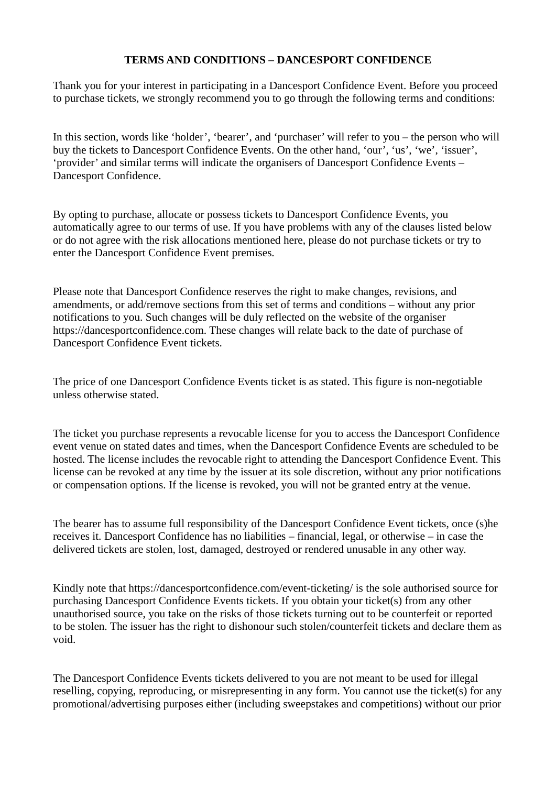## TERMS AND CONDITIONS – DANCESPORT CONFIDENCE

Thank you for your interest in participating in a Dancesport Confidence Event. Before you proceed to purchase tickets, we strongly recommend you to go through the following terms and conditions:

In this section, words like 'holder', 'bearer', and 'purchaser' will refer to you – the person who will buy the tickets to Dancesport Confidence Events. On the other hand, 'our', 'us', 'we', 'issuer', 'provider' and similar terms will indicate the organisers of Dancesport Confidence Events – Dancesport Confidence.

By opting to purchase, allocate or possess tickets to Dancesport Confidence Events, you automatically agree to our terms of use. If you have problems with any of the clauses listed below or do not agree with the risk allocations mentioned here, please do not purchase tickets or try to enter the Dancesport Confidence Event premises.

Please note that Dancesport Confidence reserves the right to make changes, revisions, and amendments, or add/remove sections from this set of terms and conditions – without any prior notifications to you. Such changes will be duly reflected on the website of the organiser https://dancesportconfidence.com. These changes will relate back to the date of purchase of Dancesport Confidence Event tickets.

The price of one Dancesport Confidence Events ticket is as stated. This figure is non-negotiable unless otherwise stated.

The ticket you purchase represents a revocable license for you to access the Dancesport Confidence event venue on stated dates and times, when the Dancesport Confidence Events are scheduled to be hosted. The license includes the revocable right to attending the Dancesport Confidence Event. This license can be revoked at any time by the issuer at its sole discretion, without any prior notifications or compensation options. If the license is revoked, you will not be granted entry at the venue.

The bearer has to assume full responsibility of the Dancesport Confidence Event tickets, once (s)he receives it. Dancesport Confidence has no liabilities – financial, legal, or otherwise – in case the delivered tickets are stolen, lost, damaged, destroyed or rendered unusable in any other way.

Kindly note that https://dancesportconfidence.com/event-ticketing/ is the sole authorised source for purchasing Dancesport Confidence Events tickets. If you obtain your ticket(s) from any other unauthorised source, you take on the risks of those tickets turning out to be counterfeit or reported to be stolen. The issuer has the right to dishonour such stolen/counterfeit tickets and declare them as void.

The Dancesport Confidence Events tickets delivered to you are not meant to be used for illegal reselling, copying, reproducing, or misrepresenting in any form. You cannot use the ticket(s) for any promotional/advertising purposes either (including sweepstakes and competitions) without our prior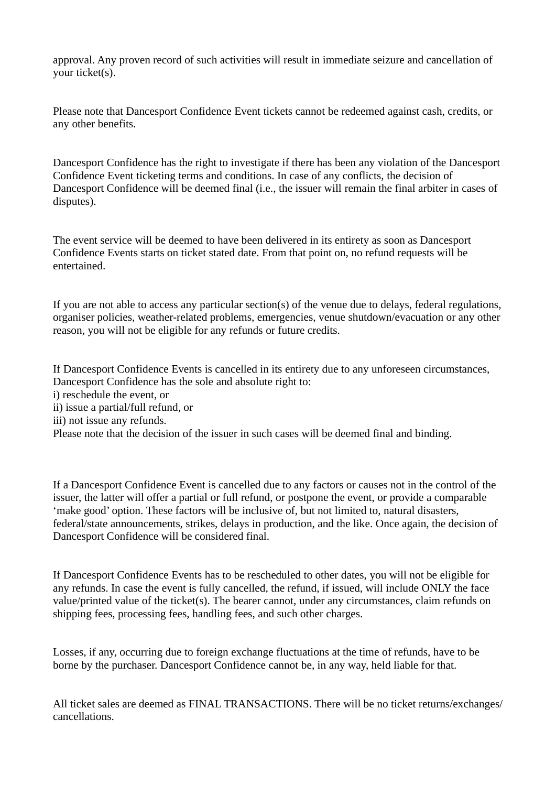approval. Any proven record of such activities will result in immediate seizure and cancellation of your ticket(s).

Please note that Dancesport Confidence Event tickets cannot be redeemed against cash, credits, or any other benefits.

Dancesport Confidence has the right to investigate if there has been any violation of the Dancesport Confidence Event ticketing terms and conditions. In case of any conflicts, the decision of Dancesport Confidence will be deemed final (i.e., the issuer will remain the final arbiter in cases of disputes).

The event service will be deemed to have been delivered in its entirety as soon as Dancesport Confidence Events starts on ticket stated date. From that point on, no refund requests will be entertained.

If you are not able to access any particular section(s) of the venue due to delays, federal regulations, organiser policies, weather-related problems, emergencies, venue shutdown/evacuation or any other reason, you will not be eligible for any refunds or future credits.

If Dancesport Confidence Events is cancelled in its entirety due to any unforeseen circumstances, Dancesport Confidence has the sole and absolute right to: i) reschedule the event, or ii) issue a partial/full refund, or iii) not issue any refunds. Please note that the decision of the issuer in such cases will be deemed final and binding.

If a Dancesport Confidence Event is cancelled due to any factors or causes not in the control of the issuer, the latter will offer a partial or full refund, or postpone the event, or provide a comparable 'make good' option. These factors will be inclusive of, but not limited to, natural disasters, federal/state announcements, strikes, delays in production, and the like. Once again, the decision of Dancesport Confidence will be considered final.

If Dancesport Confidence Events has to be rescheduled to other dates, you will not be eligible for any refunds. In case the event is fully cancelled, the refund, if issued, will include ONLY the face value/printed value of the ticket(s). The bearer cannot, under any circumstances, claim refunds on shipping fees, processing fees, handling fees, and such other charges.

Losses, if any, occurring due to foreign exchange fluctuations at the time of refunds, have to be borne by the purchaser. Dancesport Confidence cannot be, in any way, held liable for that.

All ticket sales are deemed as FINAL TRANSACTIONS. There will be no ticket returns/exchanges/ cancellations.